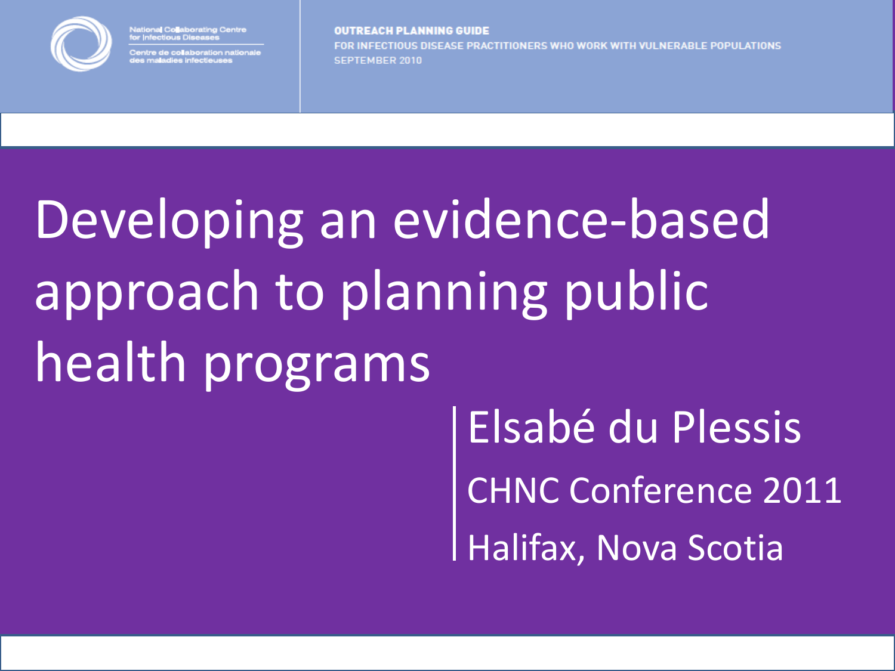

National Co<mark>l</mark>aborating Centre<br>for Infectious Diseases

ntre de collaboration national<mark>.</mark><br>s maladies infectieuses

**OUTREACH PLANNING GUIDE** FOR INFECTIOUS DISEASE PRACTITIONERS WHO WORK WITH VULNERABLE POPULATIONS **SEPTEMBER 2010** 

# Developing an evidence-based approach to planning public health programs

Elsabé du Plessis CHNC Conference 2011 Halifax, Nova Scotia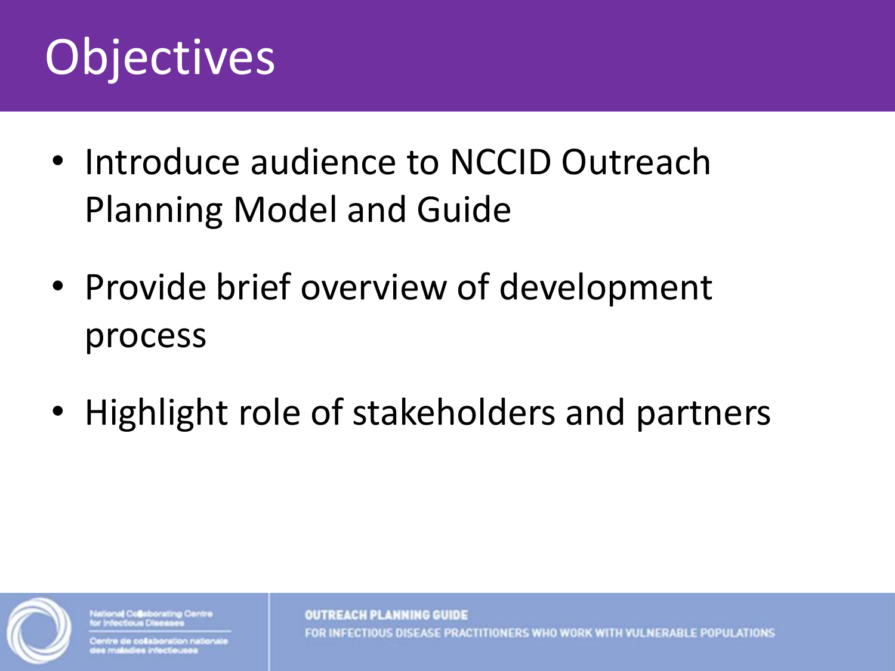#### **Objectives**

- Introduce audience to NCCID Outreach Planning Model and Guide
- Provide brief overview of development process
- Highlight role of stakeholders and partners



**Ional Collaborating Centre** 

tre de collaboration nationale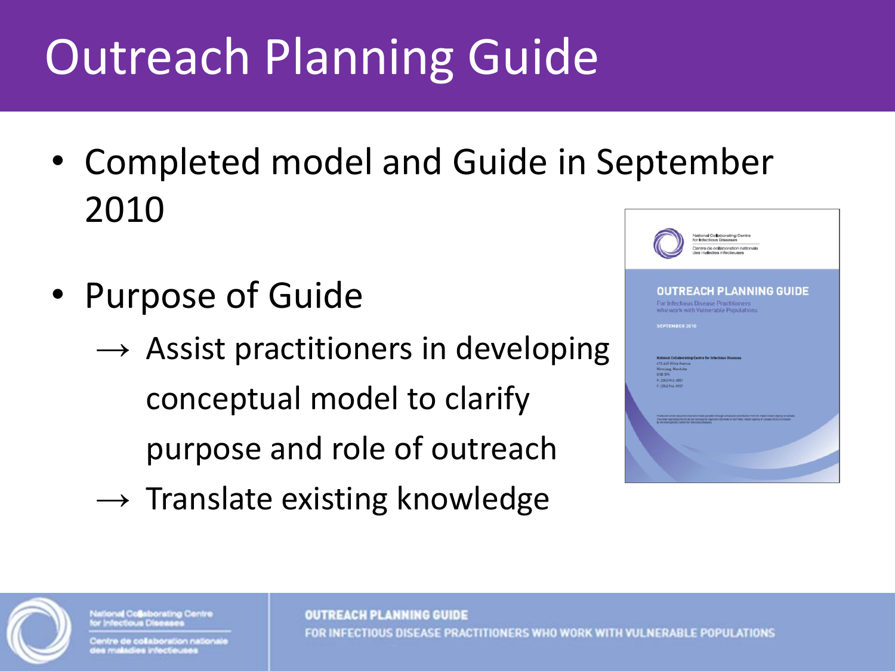## Outreach Planning Guide

- Completed model and Guide in September 2010
- Purpose of Guide
	- $\rightarrow$  Assist practitioners in developing conceptual model to clarify purpose and role of outreach
	- $\rightarrow$  Translate existing knowledge





stional Collaborating Centre

intre de collaboration nationale e maladies infecteuse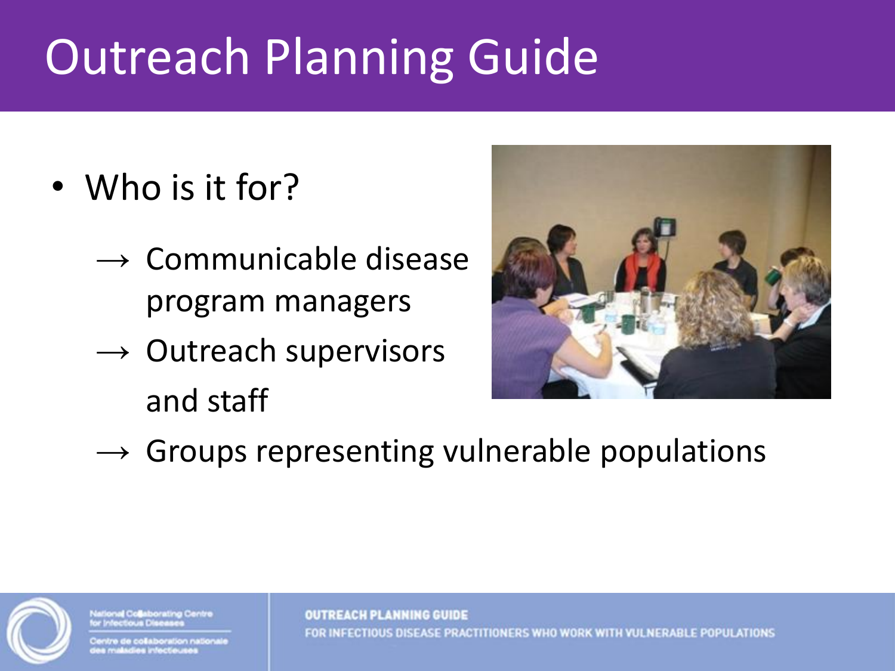### Outreach Planning Guide

- Who is it for?
	- $\rightarrow$  Communicable disease program managers
	- $\rightarrow$  Outreach supervisors and staff



 $\rightarrow$  Groups representing vulnerable populations



**Illonal Collaborating Centre** 

itre de collaboration nationale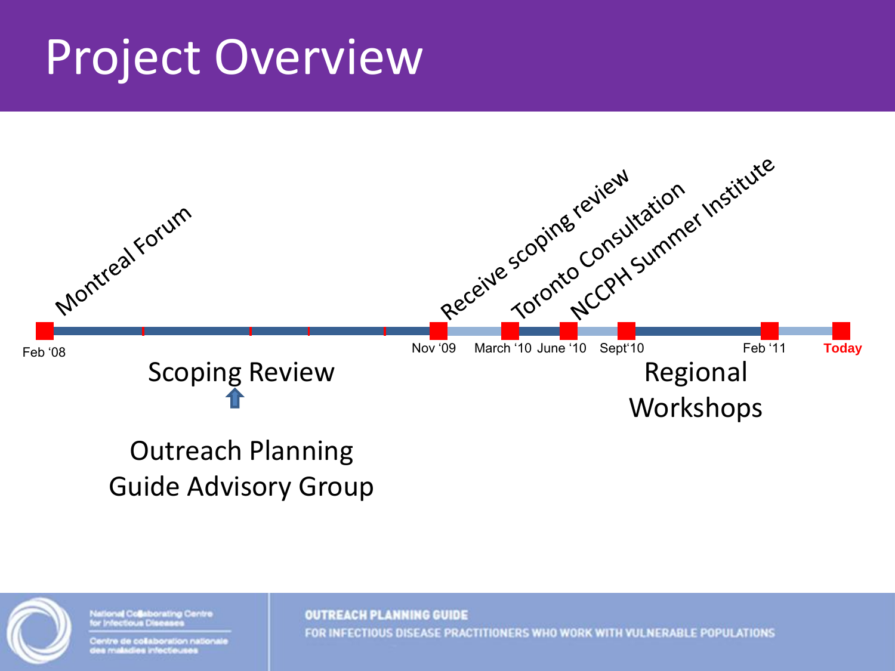#### Project Overview



#### Outreach Planning Guide Advisory Group



National Collaborating Centre *<u><b>OCTOUS</u>* 

Centre de collaboration nationale a maladies infectieuse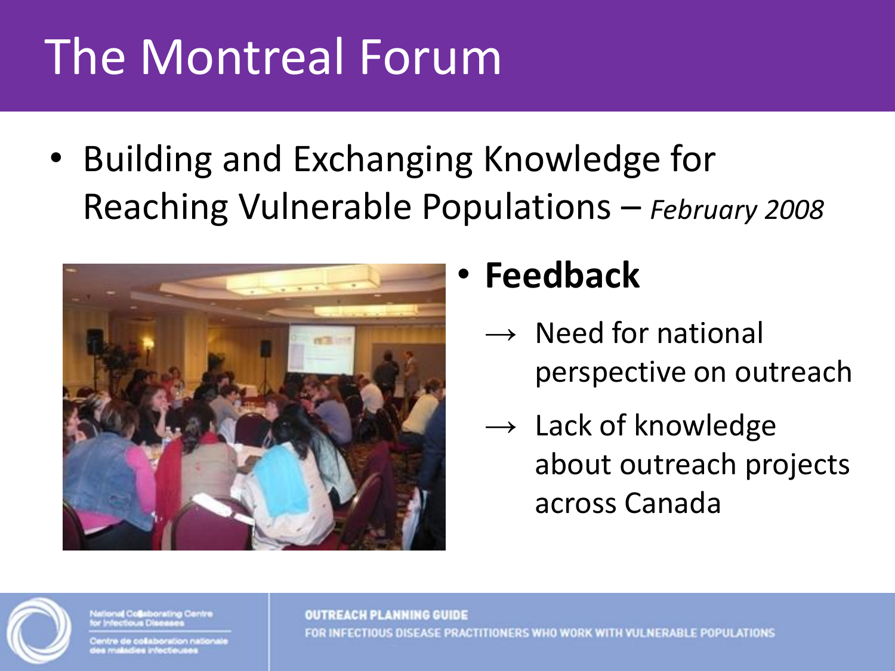# The Montreal Forum

• Building and Exchanging Knowledge for Reaching Vulnerable Populations – *February 2008*



#### • **Feedback**

- $\rightarrow$  Need for national perspective on outreach
- $\rightarrow$  Lack of knowledge about outreach projects across Canada



onal Collaborating Centre

re de collaboration national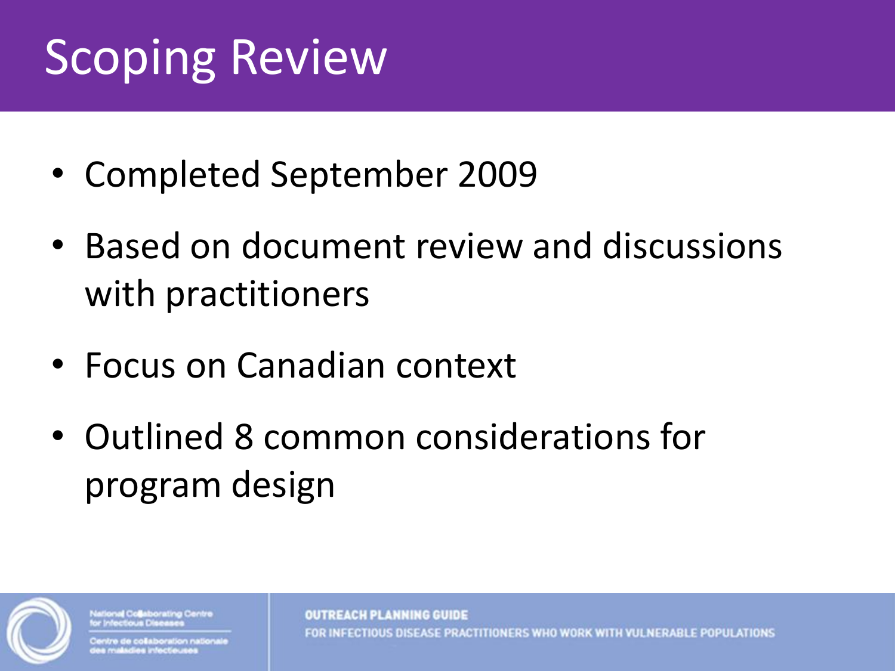#### Scoping Review

- Completed September 2009
- Based on document review and discussions with practitioners
- Focus on Canadian context
- Outlined 8 common considerations for program design



onal Collaborating Centre

e de coëaboration national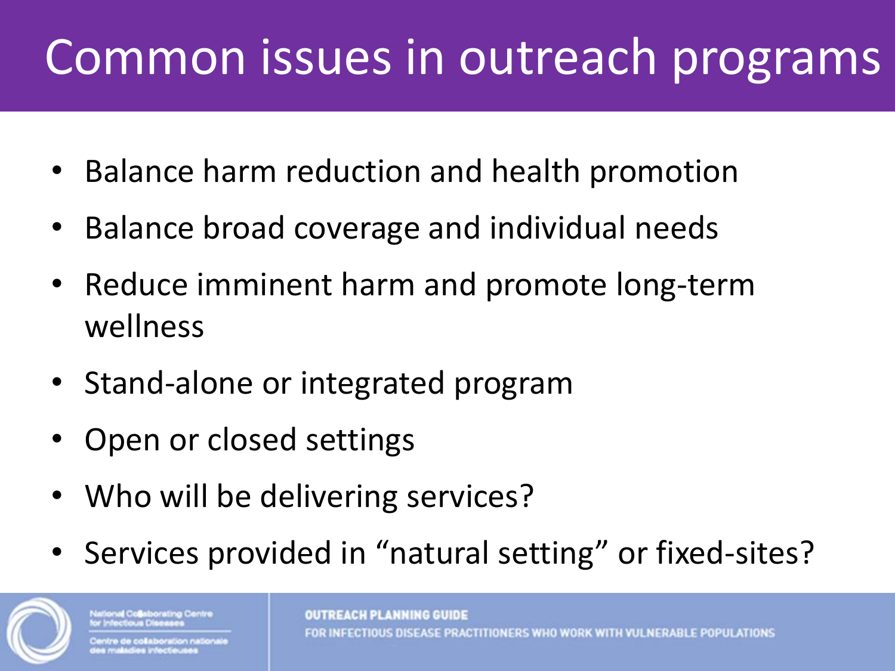#### Common issues in outreach programs

- Balance harm reduction and health promotion
- Balance broad coverage and individual needs
- Reduce imminent harm and promote long-term wellness
- Stand-alone or integrated program
- Open or closed settings
- Who will be delivering services?
- Services provided in "natural setting" or fixed-sites?

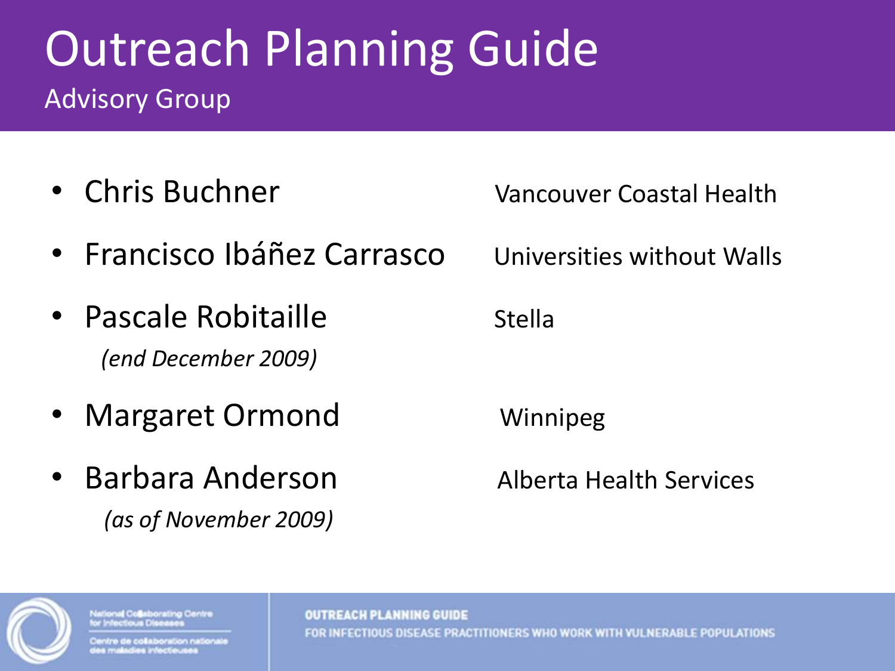#### Outreach Planning Guide Advisory Group

- Chris Buchner Vancouver Coastal Health
- Francisco Ibáñez Carrasco Universities without Walls
- Pascale Robitaille in Stella *(end December 2009)*
- Margaret Ormond Winnipeg
- Barbara Anderson Alberta Health Services *(as of November 2009)*



onal Collaborating Centre

oration nationa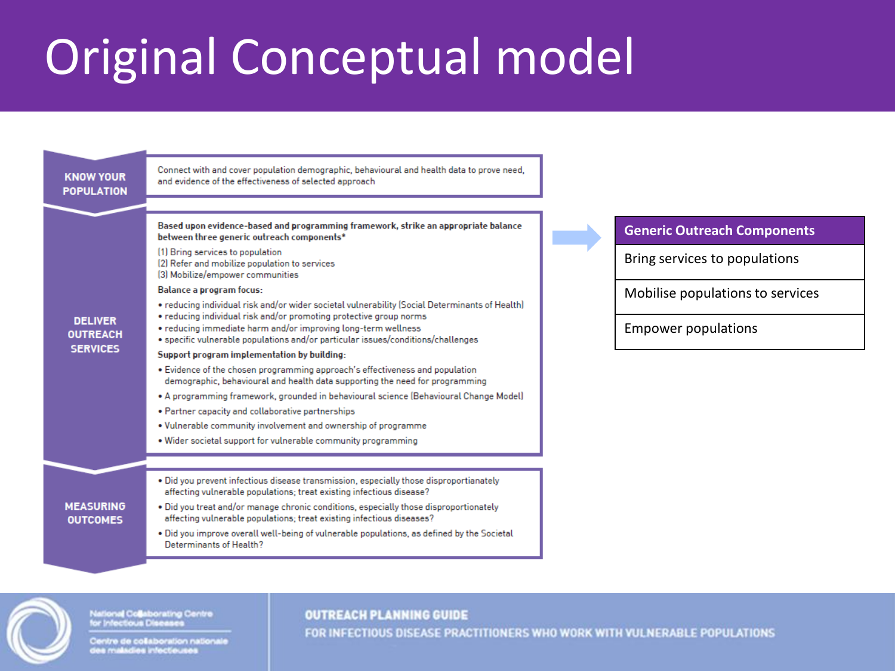#### Original Conceptual model



National Collaborating Centre<br>for Infectious Diseases

Centre de collaboration nationale<br>des maladies infectiouses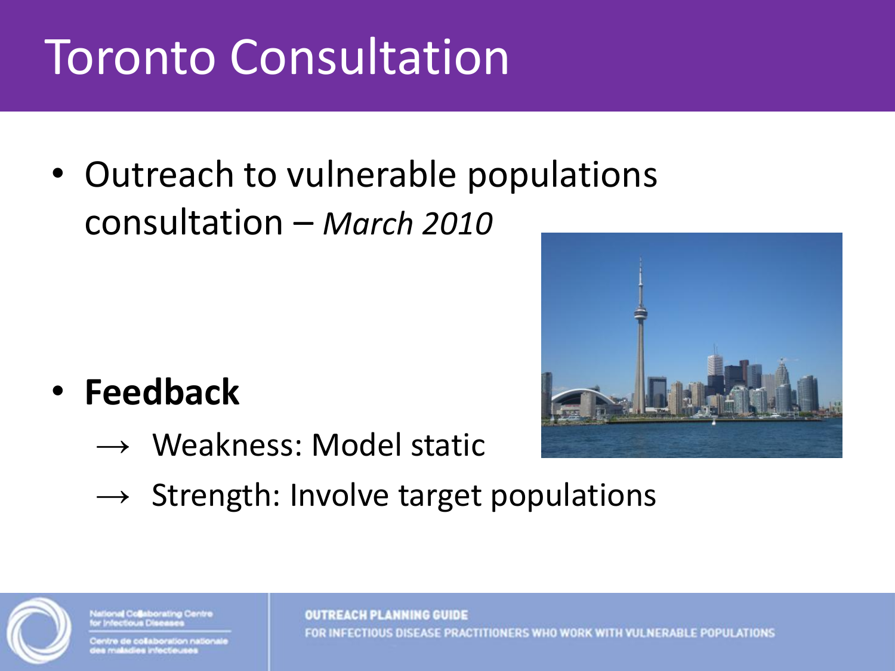# Toronto Consultation

• Outreach to vulnerable populations consultation – *March 2010*

- **Feedback**
	- $\rightarrow$  Weakness: Model static



 $\rightarrow$  Strength: Involve target populations



lonal Collaborating Centre

tre de collaboration national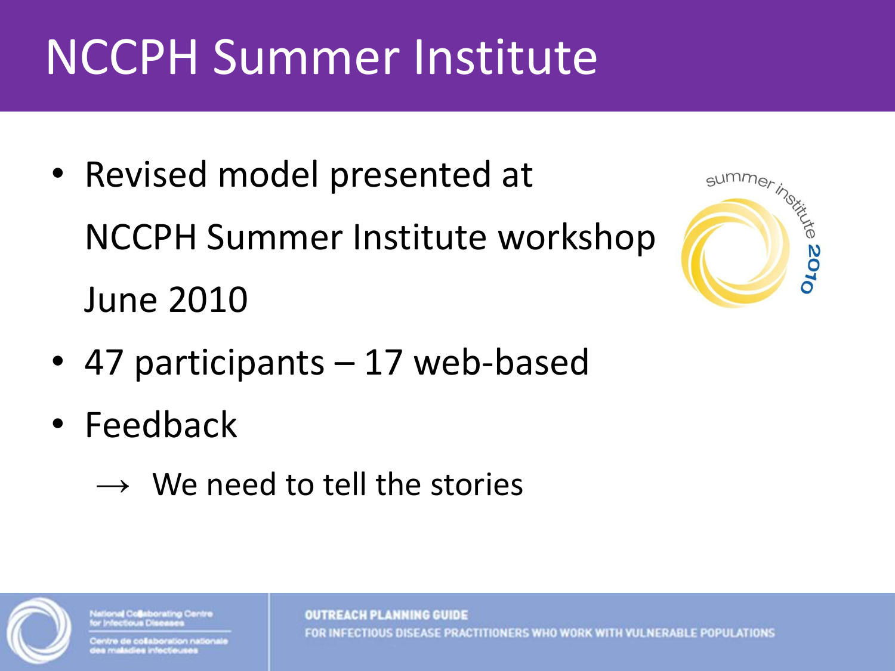#### NCCPH Summer Institute

• Revised model presented at NCCPH Summer Institute workshop June 2010



- 47 participants 17 web-based
- Feedback
	- $\rightarrow$  We need to tell the stories



onal Collaborating Centre

oration nationa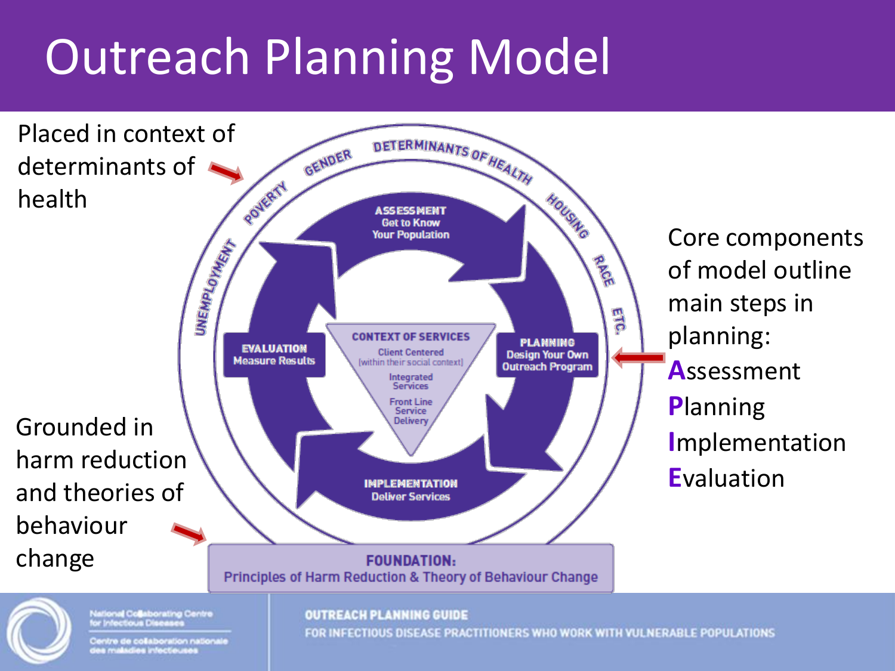# Outreach Planning Model

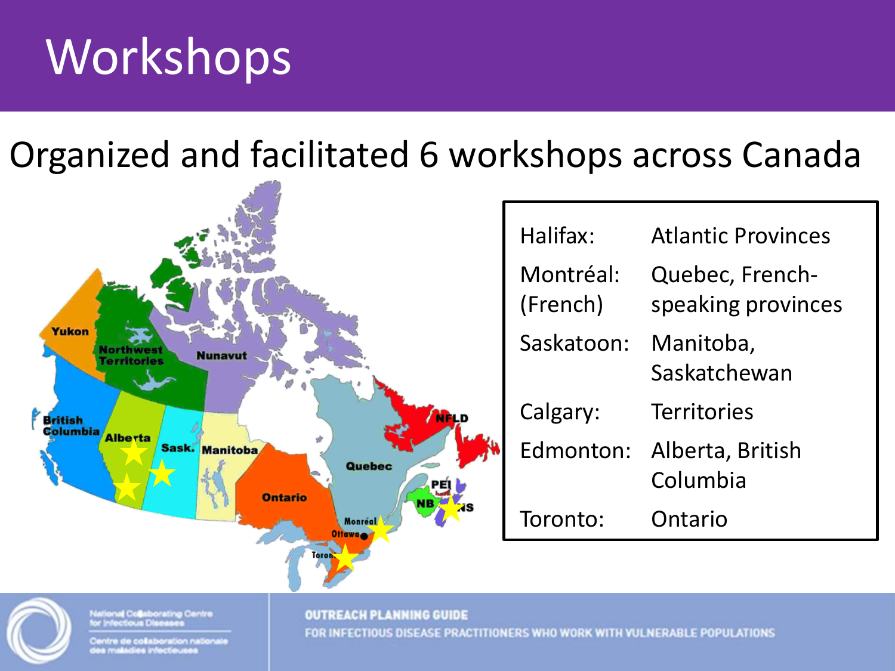#### Workshops

Organized and facilitated 6 workshops across Canada



Centre de collaboration nationale e maladies infectieuse

FOR INFECTIOUS DISEASE PRACTITIONERS WHO WORK WITH VULNERABLE POPULATIONS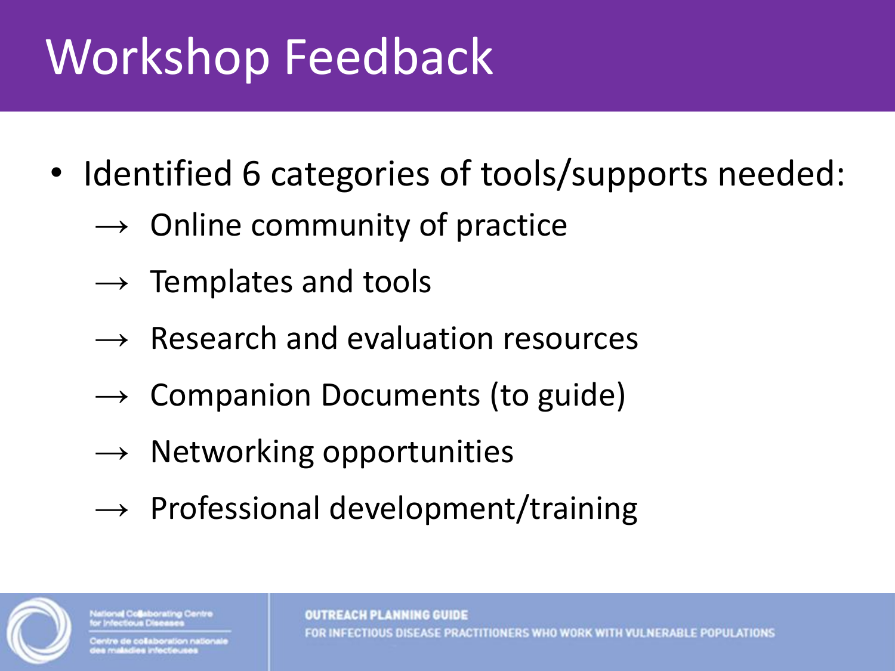#### Workshop Feedback

- Identified 6 categories of tools/supports needed:
	- $\rightarrow$  Online community of practice
	- $\rightarrow$  Templates and tools
	- $\rightarrow$  Research and evaluation resources
	- $\rightarrow$  Companion Documents (to guide)
	- $\rightarrow$  Networking opportunities
	- $\rightarrow$  Professional development/training



onal Collaborating Centre

oration national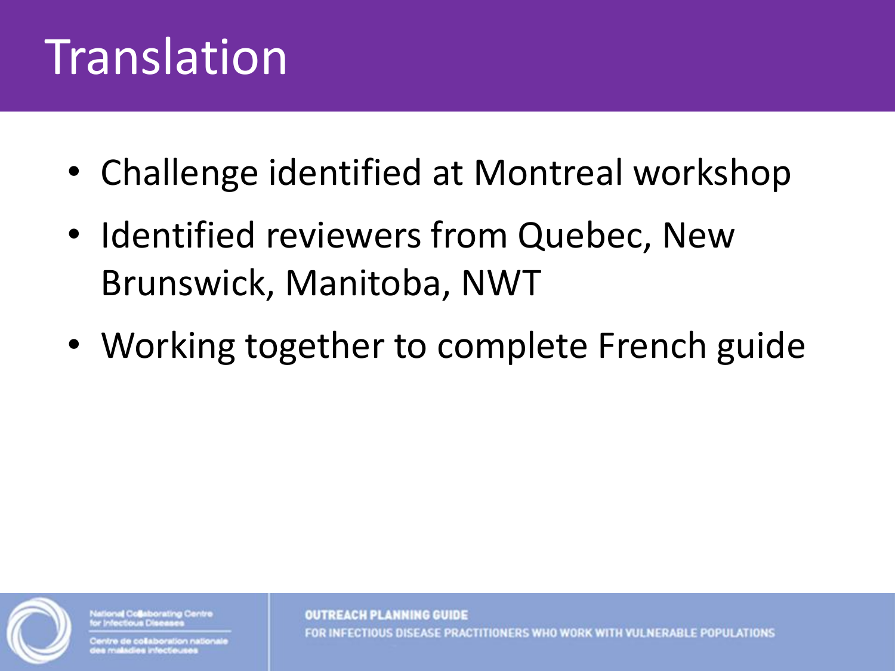#### Translation

- Challenge identified at Montreal workshop
- Identified reviewers from Quebec, New Brunswick, Manitoba, NWT
- Working together to complete French guide



**Ional Collaborating Centre** 

tre de collaboration nationale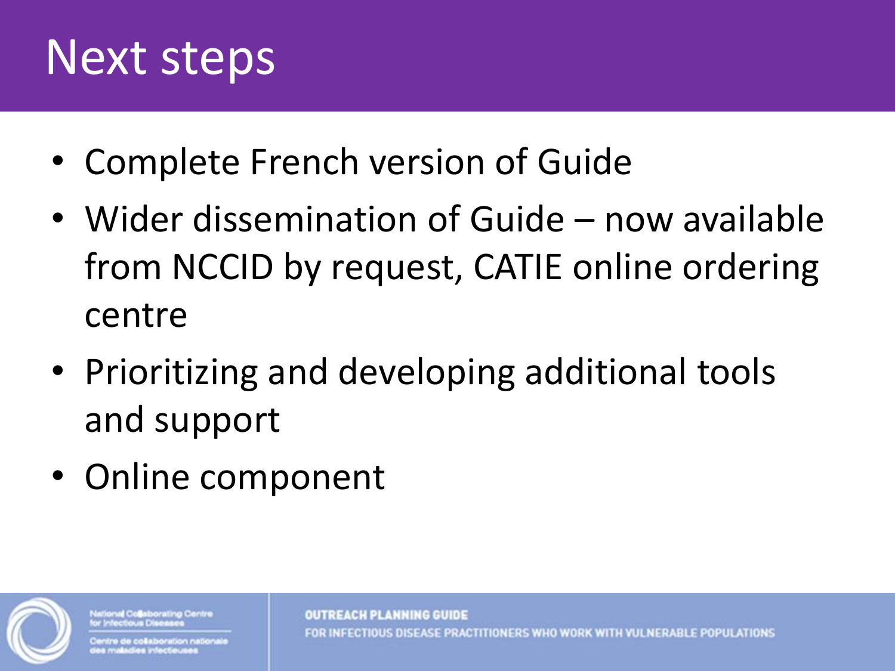#### Next steps

- Complete French version of Guide
- Wider dissemination of Guide now available from NCCID by request, CATIE online ordering centre
- Prioritizing and developing additional tools and support
- Online component



flonal Collaborating Centre

re de collaboration nationale